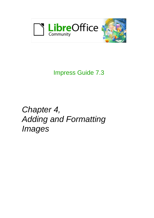

# Impress Guide 7.3

*Chapter 4, Adding and Formatting Images*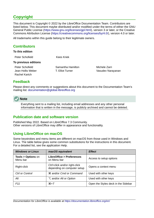# <span id="page-1-4"></span>**Copyright**

This document is Copyright © 2022 by the LibreOffice Documentation Team. Contributors are listed below. This document maybe distributed and/or modified under the terms of either the GNU General Public License (<https://www.gnu.org/licenses/gpl.html>), version 3 or later, or the Creative Commons Attribution License (<https://creativecommons.org/licenses/by/4.0/>), version 4.0 or later.

All trademarks within this guide belong to their legitimate owners.

### <span id="page-1-3"></span>**Contributors**

| Peter Schofield      | <b>Kees Kriek</b> |
|----------------------|-------------------|
| To previous editions |                   |

Peter Schofield Samantha Hamilton Michele Zarri Rachel Kartch

Jean Hollis Weber T. Elliot Turner Casudev Narayanan

### <span id="page-1-2"></span>**Feedback**

Please direct any comments or suggestions about this document to the Documentation Team's mailing list: [documentation@global.libreoffice.org](mailto:documentation@global.libreoffice.org)



Everything sent to a mailing list, including email addresses and any other personal information that is written in the message, is publicly archived and cannot be deleted.

### <span id="page-1-1"></span>**Publication date and software version**

Published May 2022. Based on LibreOffice 7.3 Community. Other versions of LibreOffice may differ in appearance and functionality.

### <span id="page-1-0"></span>**Using LibreOffice on macOS**

Some keystrokes and menu items are different on macOS from those used in Windows and Linux. The table below gives some common substitutions for the instructions in this document. For a detailed list, see the application Help.

| <b>Windows or Linux</b>                  | macOS equivalent                                             | <b>Effect</b>                       |
|------------------------------------------|--------------------------------------------------------------|-------------------------------------|
| <b>Tools &gt; Options on</b><br>Menu bar | <b>LibreOffice &gt; Preferences</b><br>on Menu bar           | Access to setup options             |
| Right-click                              | Ctrl+click and/or right-click<br>depending on computer setup | Opens a context menu                |
| Ctrl or Control                          | <b>\\$</b> and/or Cmd or Command                             | Used with other keys                |
| Alt                                      | <b>∠</b> and/or Alt or Option                                | Used with other keys                |
| F <sub>11</sub>                          | $\mathcal{H}+T$                                              | Open the Styles deck in the Sidebar |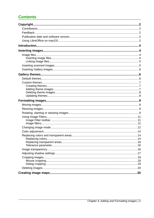# **Contents**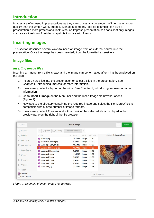# <span id="page-3-3"></span>**Introduction**

Images are often used in presentations as they can convey a large amount of information more quickly than the written word. Images, such as a company logo for example, can give a presentation a more professional look. Also, an Impress presentation can consist of only images, such as a slideshow of holiday snapshots to share with friends.

# <span id="page-3-2"></span>**Inserting images**

This section describes several ways to insert an image from an external source into the presentation. Once the image has been inserted, it can be formatted extensively.

### <span id="page-3-1"></span>**Image files**

#### <span id="page-3-0"></span>*Inserting image files*

Inserting an image from a file is easy and the image can be formatted after it has been placed on the slide.

- 1) Insert a new slide into the presentation or select a slide in the presentation. See Chapter 1, Introducing Impress for more information.
- 2) If necessary, select a layout for the slide. See Chapter 1, Introducing Impress for more information.
- 3) Go to **Insert > Image** on the Menu bar and the Insert Image file browser opens (Figure [1](#page-3-4)).
- 4) Navigate to the directory containing the required image and select the file. LibreOffice is compatible with a large number of image formats.
- 5) If necessary, select **Preview** and a thumbnail of the selected file is displayed in the preview pane on the right of the file browser.

| Cancel                    | <b>Insert Image</b>                                                                          |                                            |                | $\Omega$<br>Open                                  |
|---------------------------|----------------------------------------------------------------------------------------------|--------------------------------------------|----------------|---------------------------------------------------|
| <b>O</b> Recent           | □ Desktop<br>Desktop Pictures<br>∩ peter                                                     | Þ                                          |                |                                                   |
| <b>fil</b> Home           | Size<br>Name<br>A.                                                                           | Type                                       | Modified       | Abstract Shapes 2.jpg                             |
| Desktop                   | Beach.jpg<br>$\mathcal{L}_{\mathcal{S}}$<br>Bahamas Aerial.jpg<br>$\mathbf{r}$               | 10.5 MB<br>Image<br>9.6 MB<br>Image        | 12:39<br>12:39 |                                                   |
| F.<br>Documents           | Antelope Canyon.jpg<br>$\mathbf{E}$                                                          | 10.5 MB<br>Image                           | 12:39          |                                                   |
| Downloads<br>⇩            | Abstract Shapes 2.jpg<br>Abstract Shapes.jpg                                                 | 16.7 MB<br>Image<br>5.5 MB<br>Image        | 12:39<br>12:39 |                                                   |
| $\Box$ Music              | Abstract 4.jpg<br>$\Delta \mathcal{L}$<br>Abstract 3.jpg<br>$\Delta \mathcal{L}$             | 11.4 MB<br>Image<br>9.8 MB<br>Image        | 12:39<br>12:39 |                                                   |
| $\triangle$ Pictures      | Abstract 2.jpg<br>$\Delta^{\rm eff}$                                                         | 9.4 MB<br>Image                            | 12:39          |                                                   |
| $\Box$ Videos             | Abstract 1.jpg<br>$\mathcal{F}_{\mathcal{S}}$<br>Abstract.jpg<br>$\mathcal{L}^{\mathcal{A}}$ | 9.0 MB<br>Image<br><b>15.2 MB</b><br>Image | 12:39<br>12:39 |                                                   |
| 侖<br>Trash                |                                                                                              |                                            |                |                                                   |
| Preview<br>Insert as Link |                                                                                              |                                            |                | <all images=""><br/><math>\mathbf{v}</math></all> |

<span id="page-3-4"></span>*Figure 1: Example of Insert Image file browser*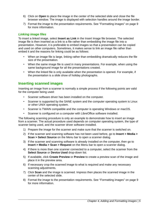- 6) Click on **Open** to place the image in the center of the selected slide and close the file browser window. The image is displayed with selection handles around the image border.
- 7) Format the image to the presentation requirements. See "[Formatting images](#page-8-3)" on page [9](#page-8-3) for more information.

#### <span id="page-4-1"></span>*Linking image files*

To insert a linked image, select **Insert as Link** in the Insert Image file browser. The selected image file is then inserted as a link to a file rather than embedding the image file into a presentation. However, it is preferable to embed images so that a presentation can be copied and used on other computers. Sometimes, it makes sense to link an image file rather than embed it and the reasons for linking could be as follows:

- When an image file is large, linking rather than embedding dramatically reduces the file size of the presentation.
- When the same image file is used in many presentations. For example, when using the same background image for all the presentations created.
- When the linked file is only available when the presentation is opened. For example, if the presentation is a slide show of holiday photographs.

### <span id="page-4-0"></span>**Inserting scanned images**

Inserting an image from a scanner is normally a simple process if the following points are valid for the computer being used:

- Scanner software driver has been installed on the computer.
- Scanner is supported by the SANE system and the computer operating system is Linux or other UNIX operating system.
- Scanner is TWAIN compatible and the computer is operating Windows or macOS.
- Scanner is configured on a computer with LibreOffice software installed.

The following scanning procedure is only an example to demonstrate how to insert an image from a scanner. The actual procedure used depends on computer operating system, the type of scanner being used, and the scanner driver software installed.

- 1) Prepare the image for the scanner and make sure that the scanner is switched on.
- 2) If the scanner and scanning software has not been used before, go to **Insert > Media > Scan > Select Source** on the Menu bar to open a scanner dialog.
- 3) If the scanner and scanning software is already installed on the computer, then go to **Insert > Media > Scan > Request** on the Menu bar to open a scanner dialog.
- 4) If there is more than one scanner connected to a computer, select the scanner from the **Select Source** or **Device Used** drop-down list.
- 5) If available, click **Create Preview** or **Preview** to create a preview scan of the image and place it in the preview area.
- 6) If necessary crop the scanned image to what is required and make any necessary scanning adjustments.
- 7) Click **Scan** and the image is scanned. Impress then places the scanned image in the center of the selected slide.
- 8) Format the image to the presentation requirements. See "[Formatting images](#page-8-3)" on page [9](#page-8-3) for more information.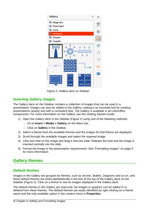

*Figure 2: Gallery deck on Sidebar*

# <span id="page-5-3"></span><span id="page-5-2"></span>**Inserting Gallery images**

The Gallery deck on the Sidebar contains a collection of images that can be used in a presentation. Images can also be added to the Gallery, making it an essential tool for creating presentations quickly and with a consistent look. The Gallery is available in all LibreOffice components. For more information on the Gallery, see the *Getting Started Guide*.

- 1) Open the Gallery deck in the Sidebar (Figure [2](#page-5-3)) using one of the following methods:
	- Go to **Insert > Media > Gallery** on the Menu bar.
	- Click on **Gallery** in the Sidebar.
- 2) Select a theme from the available themes and the images for that theme are displayed.
- 3) Scroll through the available images and select the required image.
- 4) Click and hold on the image and drag it onto the slide. Release the hold and the image is inserted centrally into the slide.
- 5) Format the image to the presentation requirements. See "[Formatting images](#page-8-3)" on page [9](#page-8-3) for more information.

# <span id="page-5-1"></span>**Gallery themes**

### <span id="page-5-0"></span>**Default themes**

Images in the Gallery are grouped by themes, such as *Arrows*, *Bullets*, *Diagrams* and so on, and these default themes are listed alphabetically in the box at the top of the Gallery deck on the Sidebar (Figure [2](#page-5-3)). Click on a theme to see its images displayed in the Gallery deck.

The default themes in the Gallery are read-only. No images or graphics can be added to or deleted from these themes. The default themes are easily identified by right-clicking on a theme name and the only available option in the context menu is **Properties**.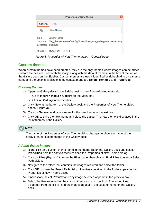|                              | <b>Properties of New Theme</b>                                                                   |  |
|------------------------------|--------------------------------------------------------------------------------------------------|--|
| General                      | <b>Files</b>                                                                                     |  |
| ⊵√                           | New Theme                                                                                        |  |
| Type:<br>Contents: 0 Objects | Gallery Theme<br>Location: file:///home/peewee/.config/libreoffice/4/user/gallery/new theme1.sdg |  |
|                              | Modified: 17/08/2021, 11:22:24                                                                   |  |

<span id="page-6-3"></span>*Figure 3: Properties of New Theme dialog – General page*

## <span id="page-6-2"></span>**Custom themes**

When custom themes have been created, they are the only themes where images can be added. Custom themes are listed alphabetically, along with the default themes, in the box at the top of the Gallery deck on the Sidebar. Custom themes are easily identified by right-clicking on a theme name and the options available in the context menu are **Delete**, **Rename** and **Properties**.

### <span id="page-6-1"></span>*Creating themes*

- 1) Open the Gallery deck in the Sidebar using one of the following methods:
	- Go to **Insert > Media > Gallery** on the Menu bar.
	- Click on **Gallery** in the Sidebar.
- 2) Click **New** at the bottom of the Gallery deck and the Properties of New Theme dialog opens (Figure [3\)](#page-6-3).
- 3) Click on **General** and type a name for the new theme in the text box.
- 4) Click **OK** to save the new theme and close the dialog. The new theme is displayed in the list of themes in the Gallery.



The name of the Properties of New Theme dialog changes to show the name of the newly created custom theme in the Gallery deck.

### <span id="page-6-0"></span>*Adding theme images*

- 1) Right-click on a custom theme name in the theme list on the Gallery deck and select **Properties** from the context menu to open the Properties of New Theme dialog.
- 2) Click on **Files** (Figure [4](#page-7-2)) to open the **Files** page, then click on **Find Files** to open a Select Path dialog.
- 3) Navigate to the folder that contains the images required and select the folder.
- 4) Click **OK** to close the Select Path dialog. The files contained in the folder appear in the Properties of New Theme dialog.
- 5) If necessary, select **Preview** and any image selected appears in the preview box.
- 6) Select the files required for the custom theme and click on **Add**. The added files disappear from the file list and the images appear in the custom theme on the Gallery deck.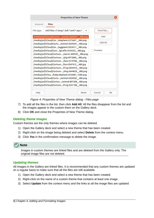|            | <b>Properties of New Theme</b>                                                                                                                                                                                                                                                                                                                                                                                                                                                                                                                                                                                      |       |              |
|------------|---------------------------------------------------------------------------------------------------------------------------------------------------------------------------------------------------------------------------------------------------------------------------------------------------------------------------------------------------------------------------------------------------------------------------------------------------------------------------------------------------------------------------------------------------------------------------------------------------------------------|-------|--------------|
| General    | <b>Files</b>                                                                                                                                                                                                                                                                                                                                                                                                                                                                                                                                                                                                        |       |              |
| File type: | <all files="">(*.bmp;*.dxf;*.emf;*.eps;*.</all>                                                                                                                                                                                                                                                                                                                                                                                                                                                                                                                                                                     |       | Find Files   |
|            | /media/psf/iCloud/Cartoo/panda-3644031_480.png                                                                                                                                                                                                                                                                                                                                                                                                                                                                                                                                                                      |       | Add          |
|            | /media/psf/iCloud/Car/elephant-2375697_480.png<br>/media/psf/iCloud/Carto/animal-2029281_480.png                                                                                                                                                                                                                                                                                                                                                                                                                                                                                                                    |       | Add All      |
|            | /media/psf/iCloud/Car/eggplant-2924511_480.png<br>/media/psf/iCloud/Cart/giraffe-3334355_480.jpg<br>/media/psf/iCloud/Cartoon /worm-309559_480.png<br>/media/psf/iCloud/Cartoon /pig-5973060_480.png<br>/media/psf/iCloud/Cartoon/bee-2519768_480.png<br>/media/psf/iCloud/Cartoon/lion-2047412_480.jpg<br>/media/psf/iCloud/Cartoon/frog-2644410 480.png<br>/media/psf/iCloud/Cartoon/dog-3644029_480.png<br>/media/psf/iClou/baby-elephant-3526681_1280.png<br>/media/psf/iCloud/Carto/animal-2029282_480.png<br>/media/psf/iCloud/Cartoo/animal-807308_480.png<br>/media/psf/iCloud/Cartoon/frog-3241108 480.png |       | Preview      |
| Help       |                                                                                                                                                                                                                                                                                                                                                                                                                                                                                                                                                                                                                     | Reset | Cancel<br>OK |

<span id="page-7-2"></span>*Figure 4: Properties of New Theme dialog - Files page*

- 7) To add all the files in the list, then click **Add All**. All the files disappear from the list and the images appear in the custom them on the Gallery deck.
- 8) Click **OK** and close the Properties of New Theme dialog.

#### <span id="page-7-0"></span>*Deleting theme images*

Custom themes are the only themes where images can be deleted.

- 1) Open the Gallery deck and select a new theme that has been created.
- 2) Right-click on the image being deleted and select **Delete** from the context menu.
- 3) Click **Yes** in the confirmation message to delete the image.

### **Note**

Images in custom themes are linked files and are deleted from the Gallery only. The original image files are not deleted.

### <span id="page-7-1"></span>*Updating themes*

All images in the Gallery are linked files. It is recommended that any custom themes are updated on a regular basis to make sure that all the files are still available.

- 1) Open the Gallery deck and select a new theme that has been created.
- 2) Right-click on the name of a custom theme that contains at least one image.
- 3) Select **Update** from the context menu and the links to all the image files are updated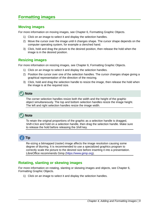# <span id="page-8-3"></span>**Formatting images**

### <span id="page-8-2"></span>**Moving images**

For more information on moving images, see Chapter 6, Formatting Graphic Objects.

- 1) Click on an image to select it and display the selection handles.
- 2) Move the cursor over the image until it changes shape. The cursor shape depends on the computer operating system, for example a clenched hand.
- 3) Click, hold and drag the picture to the desired position, then release the hold when the image is in the desired position.

# <span id="page-8-1"></span>**Resizing images**

For more information on resizing images, see Chapter 6, Formatting Graphic Objects.

- 1) Click on an image to select it and display the selection handles.
- 2) Position the cursor over one of the selection handles. The cursor changes shape giving a graphical representation of the direction of the resizing.
- 3) Click, hold and drag the selection handle to resize the image, then release the hold when the image is at the required size.



The corner selection handles resize both the width and the height of the graphic object simultaneously. The top and bottom selection handles resize the image height. The left and right selection handles resize the image width.

# **Note**

To retain the original proportions of the graphic as a selection handle is dragged, *Shift+Click* and hold on a selection handle, then drag the selection handle. Make sure to release the hold before releasing the *Shift* key.

# **Tip**

Re-sizing a bitmapped (raster) image affects the image resolution causing some degree of blurring. It is recommended to use a specialized graphics program to correctly scale the picture to the desired size before inserting it into a presentation. LibreOffice recommends Gimp [\(https://www.gimp.org\)](https://www.gimp.org/).

### <span id="page-8-0"></span>**Rotating, slanting or skewing images**

For more information on rotating, slanting or skewing images and objects, see Chapter 6, Formatting Graphic Objects.

1) Click on an image to select it and display the selection handles.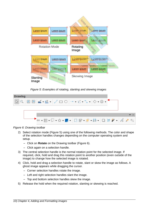

<span id="page-9-1"></span>*Figure 5: Examples of rotating, slanting and skewing images*

| <b>Drawing</b> |  |  |  |  |                                               |  |  |  |  |  |
|----------------|--|--|--|--|-----------------------------------------------|--|--|--|--|--|
|                |  |  |  |  |                                               |  |  |  |  |  |
|                |  |  |  |  |                                               |  |  |  |  |  |
|                |  |  |  |  |                                               |  |  |  |  |  |
|                |  |  |  |  |                                               |  |  |  |  |  |
|                |  |  |  |  | →→ 田 • ロ •☆ • ■ • B 日 • 『 • 前 • ロ は ク • ゟ ク % |  |  |  |  |  |
|                |  |  |  |  |                                               |  |  |  |  |  |

*Figure 6: Drawing toolbar*

- <span id="page-9-0"></span>2) Select rotation mode (Figure [5\)](#page-9-1) using one of the following methods. The color and shape of the selection handles changes depending on the computer operating system and setup.
	- Click on **Rotate** on the Drawing toolbar (Figure [6](#page-9-0)).
	- Click again on a selection handle.
- 3) The central selection handle is the normal rotation point for the selected image. If required, click, hold and drag this rotation point to another position (even outside of the image) to change how the selected image is rotated.
- 4) Click, hold and drag a selection handle to rotate, slant or skew the image as follows. A ghost image appears while dragging the cursor.
	- Corner selection handles rotate the image.
	- Left and right selection handles slant the image.
	- Top and bottom selection handles skew the image.
- 5) Release the hold when the required rotation, slanting or skewing is reached.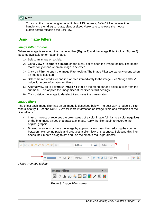

To restrict the rotation angles to multiples of 15 degrees, *Shift+Click* on a selection handle and then drag to rotate, slant or skew. Make sure to release the mouse button before releasing the *Shift* key.

### <span id="page-10-2"></span>**Using Image Filters**

#### <span id="page-10-1"></span>*Image Filter toolbar*

When an image is selected, the Image toolbar (Figure [7\)](#page-10-4) and the Image Filter toolbar (Figure [8](#page-10-3)) become available to format an image.

- 1) Select an image on a slide.
- 2) Go to **View > Toolbars > Image** on the Menu bar to open the Image toolbar. The Image toolbar only opens when an image is selected.
- 3) Click on **Filter** to open the Image Filter toolbar. The Image Filter toolbar only opens when an image is selected.
- 4) Select the required filter and it is applied immediately to the image. See ["Image filters](#page-10-0)" [below](#page-10-0) for more information on filters.
- 5) Alternatively, go to **Format > Image > Filter** on the Menu bar and select a filter from the submenu. This applies the image filter at the filter default settings.
- 6) Click outside the image to deselect it and save the presentation.

#### <span id="page-10-0"></span>*Image filters*

The effect each image filter has on an image is described below. The best way to judge if a filter works is to try it. See the *Draw Guide* for more information on image filters and examples of the filter effects.

- **Invert** inverts or reverses the color values of a color image (similar to a color negative), or the brightness values of a grayscale image. Apply the filter again to revert to the original graphic.
- **Smooth** softens or blurs the image by applying a low pass filter reducing the contrast between neighboring pixels and produces a slight lack of sharpness. Selecting this filter opens the Smooth dialog to set and use the smooth radius parameter.



<span id="page-10-4"></span><span id="page-10-3"></span>

*Figure 8: Image Filter toolbar*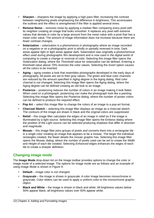- **Sharpen** sharpens the image by applying a high pass filter, increasing the contrast between neighboring pixels emphasizing the difference in brightness. This accentuates the outlines and the effect is strengthened if the filter is applied several times.
- **Remove Noise** removes noise by applying a median filter comparing every pixel with its neighbor creating an image that looks smoother. It replaces any pixel with extreme values that deviate in color by a large amount from the mean value with a pixel that has a mean color value. The amount of image information does not increase because there are fewer contrast changes.
- **Solarization** solarization is a phenomenon in photography where an image recorded on a negative or on a photographic print is wholly or partially reversed in tone. Dark areas appear light or light areas appear dark. Solarization was originally a photochemical effect used during photographic film development and is now used in the digital world of computing to create a change or reversal of color. Selecting this image filter opens the Solarization dialog, where the *Threshold* value for solarization can be defined. Entering a threshold value above 70% reverses the color values. Selecting the *Invert* option causes all the colors to be inverted.
- **Aging** aging creates a look that resembles photographs developed in the early days of photography. All pixels are set to their gray values. The green and blue color channels are reduced by the amount specified in *Aging* degree in the Aging dialog. Red color channel is not changed. Selecting this image filter opens the Aging dialog, where the Aging degree can be defined creating an old look to an image.
- **Posterize** posterizing reduces the number of colors in an image making it look flatter. When used on a photograph, posterizing can make the photograph look like a painting. Selecting this image filter opens the Posterize dialog, where the number of poster colors can be defined to produce the required effect.
- **Pop Art** select this image filter to change the colors of an image to a pop-art format.
- **Charcoal Sketch** selecting this image filter displays an image as a charcoal sketch. The contours of the image are drawn in black and the original colors are suppressed.
- **Relief** this image filter calculates the edges of an image in relief as if the image is illuminated by a light source. Selecting this image filter opens the Emboss dialog where the position of the *Light* source can be selected producing shadows that differ in direction and magnitude.
- **Mosaic** this image filter joins groups of pixels and converts them into a rectangular tile in a single color creating an image that appears to be a mosaic. The larger the individual rectangles created, the fewer details the mosaic graphic has. Selecting this image filter opens the Mosaic dialog, where the number of pixels used can be set to create the *Width* and *Height* of each tile created. Selecting *Enhanced* edges enhances the edges of each tile to create a sharper definition.

# <span id="page-11-0"></span>**Changing image mode**

The **Image Mode** drop-down list on the Image toolbar provides options to change the color or image mode of a selected image. The options for image mode are as follows and an example of using Image Mode is shown in Figure [9](#page-12-0).

- **Default** image color is not changed.
- **Grayscale** the image is shown in grayscale. A color image becomes monochrome in grayscale. Color sliders can be used to apply a uniform color to the monochrome graphic object.
- **Black and White** the image is shown in black and white. All brightness values below 50% appear black, all brightness values over 50% appear white.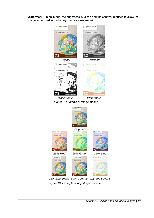• **Watermark** – in an image, the brightness is raised and the contrast reduced to allow the image to be used in the background as a watermark.

<span id="page-12-1"></span><span id="page-12-0"></span>

25% Brightness 50% Contrast Gamma Level 5 *Figure 10: Example of adjusting color level*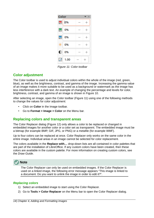<span id="page-13-3"></span>

*Figure 11: Color toolbar*

### <span id="page-13-2"></span>**Color adjustment**

The Color toolbar is used to adjust individual colors within the whole of the image (red, green, blue), as well as the brightness, contrast, and gamma of the image. Increasing the gamma value of an image makes it more suitable to be used as a background or watermark as the image has less interference with a dark text. An example of changing the percentage and levels for color, brightness, contrast, and gamma of an image is shown in Figure [10.](#page-12-1)

After selecting an image, open the Color toolbar (Figure [11](#page-13-3)) using one of the following methods to change the values for color adjustment:

- Click on **Color** in the Image toolbar.
- Go to **Format > Image > Color** on the Menu bar.

### <span id="page-13-1"></span>**Replacing colors and transparent areas**

The Color Replacer dialog (Figure [12](#page-14-0)) only allows a color to be replaced or changed in embedded images for another color or a color set as transparent. The embedded image must be a bitmap (for example BMP, GIF, JPG, or PNG) or a metafile (for example WMF).

Up to four colors can be replaced at once. Color Replacer only works on the same color in the entire image. Individual areas in an image cannot be selected for color replacement.

The colors available in the **Replace with…** drop-down lists are all contained in color palettes that are part of the installation of LibreOffice. If any custom colors have been created, then these colors are available in the custom palette. For more information on creating custom colors, see the *Draw Guide*.



The Color Replacer can only be used on embedded images. If the Color Replacer is used on a linked image, the following error message appears "This image is linked to a document. Do you want to unlink the image in order to edit it?".

#### <span id="page-13-0"></span>*Replacing colors*

- 1) Select an embedded image to start using the Color Replacer.
- 2) Go to **Tools > Color Replacer** on the Menu bar to open the Color Replacer dialog.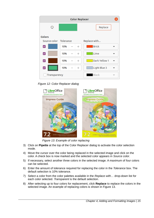|                        |     | <b>Color Replacer</b> |               |
|------------------------|-----|-----------------------|---------------|
| ☺                      |     |                       | Replace       |
| <b>Colors</b>          |     |                       |               |
| Source color Tolerance |     |                       | Replace with  |
| ☑                      | 10% | $^{+}$                | <b>Brick</b>  |
| ☑                      | 10% | $\hspace{0.1mm} +$    | Lime          |
| ☑                      | 10% | $^{+}$                | Dark Yellow 1 |
|                        | 10% | $\hspace{0.1mm} +$    | Light Blue 3  |
| Transparency           |     |                       | <b>Black</b>  |

*Figure 12: Color Replacer dialog*

<span id="page-14-0"></span>

<span id="page-14-1"></span>*Figure 13: Example of color replacing*

- 3) Click on **Pipette** at the top of the Color Replacer dialog to activate the color selection mode.
- 4) Move the cursor over the color being replaced in the selected image and click on the color. A check box is now marked and the selected color appears in *Source color*.
- 5) If necessary, select another three colors in the selected image. A maximum of four colors can be selected.
- 6) Enter the amount of tolerance required for replacing the color in the *Tolerance* box. The default selection is 10% tolerance.
- 7) Select a color from the color palettes available in the *Replace with…* drop-down list for each color selected. *Transparent* is the default selection.
- 8) After selecting up to four colors for replacement, click **Replace** to replace the colors in the selected image. An example of replacing colors is shown in Figure [13.](#page-14-1)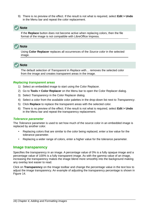9) There is no preview of the effect. If the result is not what is required, select **Edit > Undo** in the Menu bar and repeat the color replacement.

### **Note**

If the **Replace** button does not become active when replacing colors, then the file format of the image is not compatible with LibreOffice Impress.

# **Note**

Using **Color Replacer** replaces all occurrences of the *Source color* in the selected image.

# **Note**

The default selection of *Transparent* in *Replace with…* removes the selected color from the image and creates transparent areas in the image.

### <span id="page-15-2"></span>*Replacing transparent areas*

- 1) Select an embedded image to start using the Color Replacer.
- 2) Go to **Tools > Color Replacer** on the Menu bar to open the Color Replacer dialog.
- 3) Select *Transparency* in the Color Replacer dialog.
- 4) Select a color from the available color palettes in the drop-down list next to *Transparency*.
- 5) Click **Replace** to replace the transparent areas with the selected color.
- 6) There is no preview of the effect. If the result is not what is required, select **Edit > Undo** in the Menu bar and repeat the transparency replacement.

### <span id="page-15-1"></span>*Tolerance parameter*

The *Tolerance* parameter is used to set how much of the source color in an embedded image is replaced by another color.

- Replacing colors that are similar to the color being replaced, enter a low value for the tolerance parameter.
- Replacing a wider range of colors, enter a higher value for the tolerance parameter.

### <span id="page-15-0"></span>**Image transparency**

Specifies the transparency in an image. A percentage value of 0% is a fully opaque image and a percentage value of 100% is a fully transparent image. As with the gamma value of an image, increasing the transparency makes the image blend more smoothly into the background making any overlay text easier to read.

Click on **Transparency** on the Image toolbar and change the percentage value in the text box to adjust the image transparency. An example of adjusting the transparency percentage is shown in Figure [14.](#page-16-1)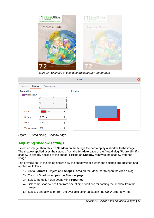

*Figure 14: Example of changing transparency percentage*

<span id="page-16-1"></span>

|                   |                                    | Area           | ⊠ |
|-------------------|------------------------------------|----------------|---|
| Shadow<br>Агеа    | <b>Transparency</b>                |                |   |
| <b>Properties</b> |                                    | <b>Preview</b> |   |
| V Use shadow      |                                    |                |   |
|                   |                                    |                |   |
|                   | ∩                                  |                |   |
|                   |                                    |                |   |
| Color:            | Red<br>▼                           |                |   |
| Distance:         | $0.60 \text{ cm}$<br>$^{+}$        |                |   |
| Blur:             | 0 <sub>pt</sub><br>$\! + \!\!\!\!$ |                |   |
| Transparency:     | 0%<br>$^{+}$                       |                |   |

<span id="page-16-2"></span>*Figure 15: Area dialog - Shadow page*

# <span id="page-16-0"></span>**Adjusting shadow settings**

Select an image, then click on **Shadow** on the Image toolbar to apply a shadow to the image. The shadow applied uses the settings from the **Shadow** page of the Area dialog (Figure [15](#page-16-2)). If a shadow is already applied to the image, clicking on **Shadow** removes the shadow from the image.

The preview box in the dialog shows how the shadow looks when the settings are adjusted and applied as follows:

- 1) Go to **Format > Object and Shape > Area** on the Menu bar to open the Area dialog.
- 2) Click on **Shadow** to open the **Shadow** page.
- 3) Select the option *Use shadow* in **Properties**.
- 4) Select the shadow position from one of nine positions for casting the shadow from the image.
- 5) Select a shadow color from the available color palettes in the *Color* drop-down list.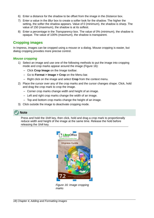- 6) Enter a distance for the shadow to be offset from the image in the *Distance* box.
- 7) Enter a value in the *Blur* box to create a softer look for the shadow. The higher the setting, the softer the shadow appears. Value of 0 (minimum), the shadow is sharp. The value of 150 (maximum), the shadow is at its softest.
- 8) Enter a percentage in the *Transparency* box. The value of 0% (minimum), the shadow is opaque. The value of 100% (maximum), the shadow is transparent.

### <span id="page-17-1"></span>**Cropping images**

In Impress, images can be cropped using a mouse or a dialog. Mouse cropping is easier, but dialog cropping provides more precise control.

#### <span id="page-17-0"></span>*Mouse cropping*

- 1) Select an image and use one of the following methods to put the image into cropping mode and crop marks appear around the image (Figure [16\)](#page-17-2):
	- Click **Crop Image** on the Image toolbar.
	- Go to **Format > Image > Crop** on the Menu bar.
	- Right click on the image and select **Crop** from the context menu.
- 2) Place the cursor over any of the crop marks and the cursor changes shape. Click, hold and drag the crop mark to crop the image.
	- Corner crop marks change width and height of an image.
	- Left and right crop marks change the width of an image.
	- Top and bottom crop marks change the height of an image.
- 3) Click outside the image to deactivate cropping mode.

### **Note**

Press and hold the *Shift* key, then click, hold and drag a crop mark to proportionally reduce width and height of the image at the same time. Release the hold before releasing the *Shift* key.

<span id="page-17-2"></span>

*Figure 16: Image cropping marks*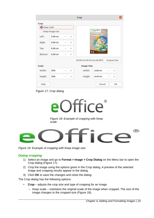|              |                    |        | Crop                       |                      |               |
|--------------|--------------------|--------|----------------------------|----------------------|---------------|
| Crop         |                    |        |                            |                      |               |
| Keep scale   |                    |        |                            |                      |               |
|              | Keep image size    |        |                            | LibreOffice          |               |
| Left:        | 0.00 <sub>cm</sub> | $^{+}$ |                            | <b>Impress Guide</b> |               |
| Right:       | 0.00cm             | $^{+}$ |                            |                      |               |
| Top:         | 0.00cm             | $^{+}$ |                            |                      |               |
| Bottom:      | 0.00cm             | $^{+}$ |                            | 7.2                  |               |
|              |                    |        | 20.99 cm×29.70 cm (26 PPI) |                      | Original Size |
| <b>Scale</b> |                    |        | <b>Image Size</b>          |                      |               |
| Width:       | 29%                | $^{+}$ | Width:                     | $6.00 \text{ cm}$    | $^{+}$        |
| Height:      | 29%                | $^{+}$ | Height:                    | 8.49 cm              | $\pm$         |
|              |                    |        |                            |                      |               |

<span id="page-18-2"></span><span id="page-18-1"></span>*Figure 17: Crop dialog*



*Figure 18: Example of cropping with Keep scale*



*Figure 19: Example of cropping with Keep image size*

### <span id="page-18-3"></span><span id="page-18-0"></span>*Dialog cropping*

- 1) Select an image and go to **Format > Image > Crop Dialog** on the Menu bar to open the Crop dialog (Figure [17](#page-18-2)).
- 2) Crop the image using the options given in the Crop dialog. A preview of the selected image and cropping results appear in the dialog.
- 3) Click **OK** to save the changes and close the dialog.

The Crop dialog has the following options:

- **Crop** adjusts the crop size and type of cropping for an image.
	- *Keep scale* maintains the original scale of the image when cropped. The size of the image changes to the cropped size (Figure [18\)](#page-18-1).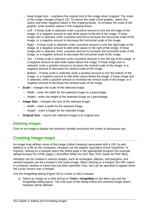- *Keep image size* maintains the original size of the image when cropped. The scale of the image changes (Figure [19](#page-18-3)). To reduce the scale of the graphic, select this option and enter negative values in the cropping boxes. To increase the scale of the graphic, enter positive values in the cropping boxes.
- *Left* if *Keep scale* is selected, enter a positive amount to trim the left edge of the image, or a negative amount to add white space to the left of the image. If *Keep image size* is selected, enter a positive amount to increase the horizontal scale of the image, or a negative amount to decrease the horizontal scale of the image.
- *Right* if *Keep scale* is selected, enter a positive amount to trim the right edge of the image, or a negative amount to add white space to the right of the image. If *Keep image size* is selected, enter a positive amount to increase the horizontal scale of the image, or a negative amount to decrease the horizontal scale of the image.
- *Top* if *Keep scale* is selected, enter a positive amount to trim the top of the image, or a negative amount to add white space above the image. If *Keep image size* is selected, enter a positive amount to increase the vertical scale of the image, or a negative amount to decrease the vertical scale of the image.
- *Bottom* if *Keep scale* is selected, enter a positive amount to trim the bottom of the image, or a negative amount to add white space below the image. If *Keep image size* is selected, enter a positive amount to increase the vertical scale of the image, or a negative amount to decrease the vertical scale of the image.
- **Scale** changes the scale of the selected image.
	- *Width* enter the width for the selected image as a percentage.
	- *Height* enter the height of the selected image as a percentage.
- **Image Size** changes the size of the selected image.
	- *Width* enter a width for the selected image.
	- *Height* enter a height for the selected image.
- **Original Size** returns the selected image to its original size.

### <span id="page-19-0"></span>**Deleting images**

Click on an image to display the selection handles and press the *Delete* or *Backspace* key.

# <span id="page-19-1"></span>**Creating image maps**

An image map defines areas of the image (called hotspots) associated with a URL (a web address or a file on the computer). Hotspots are the graphic equivalent of text hyperlinks. In Impress, clicking on a hotspot opens the linked page in the appropriate program (for example, default browser for HTML pages; LibreOffice Writer for ODT files; PDF viewer for PDF files).

Hotspots can be created in various shapes, such as rectangles, ellipses, and polygons, and several hotspots can be included in the same image. When clicking on a hotspot, the URL opens in a browser window or frame that has been specified. Also, text can be specified to appear when the cursor hovers over a hotspot.

Use the ImageMap dialog (Figure [20\)](#page-20-0) to create or edit a hotspot:

1) Select an image on a slide and go to **Tools > ImageMap** on the Menu bar and the ImageMap dialog opens. The main part of the dialog shows the selected image where hotspots will be defined.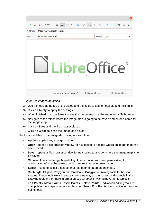| ▷        | $\mathbb{S}$<br>Close<br>Н            | $\overline{C_{\odot}}$ |
|----------|---------------------------------------|------------------------|
| Address: | http://www.libreoffice.org/           | ▼                      |
| Text:    | LibreOffice website<br>self<br>Frame: | ▼                      |
|          | $\circledR$<br><b>eOffice</b>         |                        |

<span id="page-20-0"></span>*Figure 20: ImageMap dialog*

- 2) Use the tools at the top of the dialog and the fields to define hotspots and their links.
- 3) Click on **Apply** to apply the settings.
- 4) When finished, click on **Save** to save the image map to a file and open a file browser.
- 5) Navigate to the folder where the image map is going to be saved and enter a name for the image map.
- 6) Click on **Save** and the file browser closes.
- 7) Click on **Close** to close the ImageMap dialog.

The tools available in the ImageMap dialog are as follows:

- **Apply** applies any changes made.
- **Open** opens a file browser window for navigating to a folder where an image map has been saved.
- **Save** opens a file browser window for navigating to a folder where the image map is to be saved.
- **Close** closes the Image Map dialog. A confirmation window opens asking for confirmation of what happens to any changes that have been made.
- **Select** used to select a hotspot that has been created on an image.
- **Rectangle**, **Ellipse**, **Polygon** and **FreeForm Polygon** drawing tools for hotspot shapes. These tools work in exactly the same way as the corresponding tools in the Drawing toolbar. For more information see Chapter 5, Managing Graphic Objects.
- **Edit Points**, **Move Points**, **Insert Points**, **Delete Points** advanced editing tools to manipulate the shape of a polygon hotspot. Select **Edit Points** first to activate the other points tools.